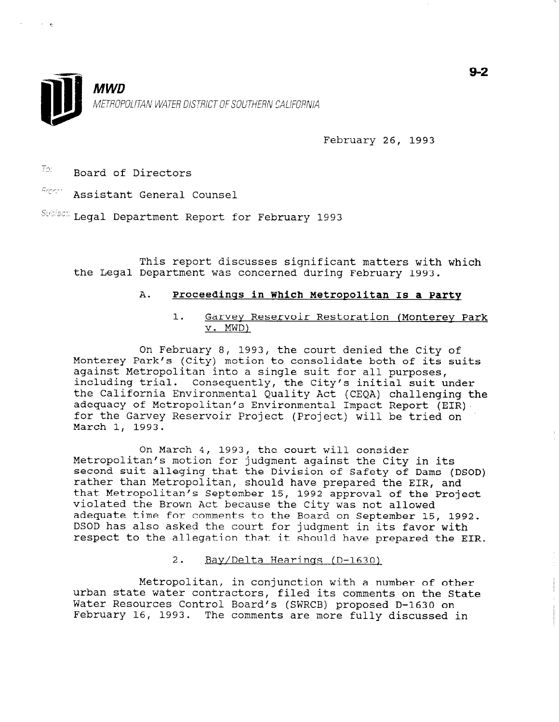

February 26, 1993

 $T_{01}$  Board of Directors

 $\epsilon = \frac{1}{2}$ 

From: Assistant General Counsel

Subisct: Legal Department Report for February 1993

This report discusses significant matters with which the Legal Department was concerned during February 1993.

### A. Proceedinqs in Which Metropolitan Is a Party

### 1. Garvev Reservoir Restoration (Monterey Park v. MWD)

On February 8, 1993, the court denied the City of Monterey Park's (City) motion to consolidate both of its suits against Metropolitan into a single suit for all purposes, including trial. Consequently, the City's initial suit under the California Environmental Quality Act (CEQA) challenging the adequacy of Metropolitan's Environmental Impact Report (EIR) for the Garvey Reservoir Project (Project) will be tried on for the Garvey Reservoir Project (Project) will be tried on<br>March 1, 1993.

On March 4, 1993, the court will consider Metropolitan's motion for judgment against the City in its second suit alleging that the Division of Safety of Dams (DSOD) rather than Metropolitan, should have prepared the EIR, and that Metropolitan, Should have prepared the EIR, and<br>that Metropolitan's Capterber 15, 1992 approved to the Project vial heliopolitan September 13, 1992 approval of th violetica the Brown Act because the CIty was not allowed adequate the for comments to the board on september 15, 19 DSOD has also asked the court for judgment in its favor with respect to the allegation that it should have prepared the EIR.

### 2. Bay/Delta Hearings (D-1630)

Metropolitan, in conjunction with a number of other uetroportican, in conjunction with a number of other urban state water contractors, filed its comments on the State Water Resources Control Board's (SWRCB) proposed D-1630 on<br>February 16, 1993. The comments are more fully discussed in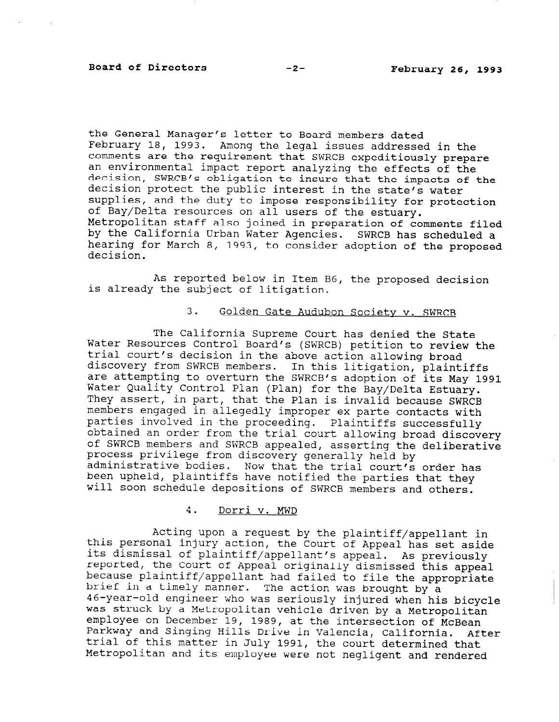the General Manager's letter to Board members dated February 18, 1993. Among the legal issues addressed in the comments are the requirement that SWRCB expeditiously prepare an environmental impact report analyzing the effects of the decision, SWRCB's obligation to insure that the impacts of the decision protect the public interest in the state's water supplies, and the duty to impose responsibility for protection of Bay/Delta resources on all users of the estuary. Metropolitan staff also joined in preparation of comments filed by the California Urban Water Agencies. SWRCB has scheduled a hearing for March 8, 1993, to consider adoption of the proposed decision.

As reported below in Item B6, the proposed decision is already the subject of litigation.

### 3. Golden Gate Audubon Society v. SWRCB

The California Supreme Court has denied the State Water Resources Control Board's (SWRCB) petition to review the trial court's decision in the above action allowing broad discovery from SWRCB members. In this litigation, plaintiffs are attempting to overturn the SWRCB's adoption of its May 1991 Water Quality Control Plan (Plan) for the Bay/Delta Estuary. They assert, in part, that the Plan is invalid because SWRCB members engaged in allegedly improper ex parte contacts with parties involved in the proceeding. Plaintiffs successfully parties involved in the proceeding. Fiamuliis successfully of SWRCB members and SWRCB appealed, asserting the deliberative of SWRCB members and SWRCB appealed, asserting the deliberative process privilege from discovery generally held by process privilege from discovery generally neid by<br>administrative bodies. Now that the trial count/s order has administrative boules. Now that the trial court's order have ween upheru, praintifis have notified the parties that the

## 4. Dorri v. MWD

Acting upon a request by the plaintiff/appellant in ACLING upon a request by the plaintiff/appellant in this personal injury action, the court of Appellant appeal. reported, as sec di<br>T sai or piaintiff/apperiant's appeal. As previously reported, the Court of Appeal originally dismissed this appeal because plaintiff/appellant had failed to file the appropriate brief in a timely manner. The action was brought by a 46-year-old engineer who was seriously injured when his bicycle was struck by a Metropolitan vehicle driven by a Metropolitan<br>employee on December 19, 1989, at the intersection of McBean Parkway and Singing Hills Drive in Valencia, California. After trial of this matter in July 1991, the court determined that<br>Metropolitan and its employee were not negligent and rendered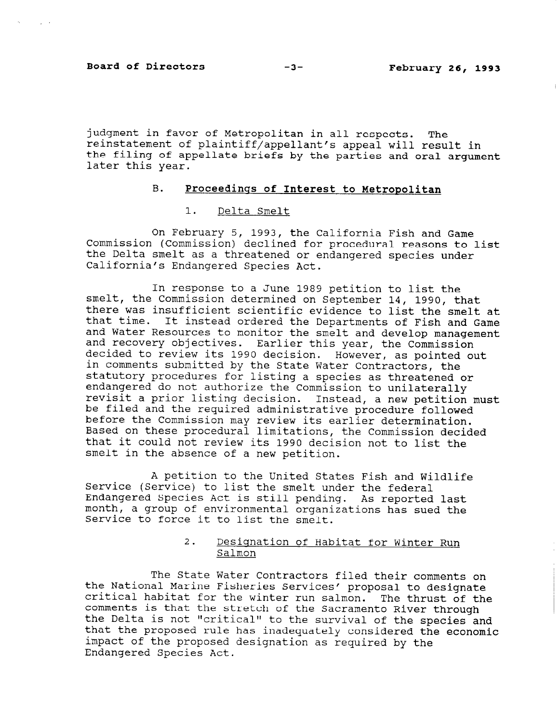Board of Directors -3- February 26, 1993

judgment in favor of Metropolitan in all respects. The reinstatement of plaintiff/appellant's appeal will result in the filing of appellate briefs by the parties and oral argument later this year.

# B. Proceedings of Interest to Metropolitan

## 1. Delta Smelt

On February 5, 1993, the California Fish and Game Commission (Commission) declined for procedural reasons to list the Delta smelt as a threatened or endangered species under California's Endangered Species Act.

In response to a June 1989 petition to list the smelt, the Commission determined on September 14, 1990, that there was insufficient scientific evidence to list the smelt at that time. It instead ordered the Departments of Fish and Game and Water Resources to monitor the smelt and develop management and recovery objectives. Earlier this year, the Commission decided to review its 1990 decision. However, as pointed out in comments submitted by the State Water Contractors, the statutory procedures for listing a species as threatened or endangered do not authorize the Commission to unilaterally revisit a prior listing decision. Instead, a new petition must be filed and the required administrative procedure followed before the Commission may review its earlier determination. Based on these procedural limitations, the Commission decided that it could not review its 1990 decision not to list the smelt in the absence of a new petition.

A petition to the United States Fish and Wildlife Service (Service) to list the smelt under the federal Endangered Species Act is still pending. As reported last month, a group of environmental organizations has sued the Service to force it to list the smelt.

# 2. Designation of Habitat for Winter Run <u>saary</u><br>Salmo

The State Water Contractors filed their comments on the State Water Contractors filed their comments che hacional habitat for the winter run sale me The thrust of the thrust of the thrust of the thrust of the thrust of the thrust of the thrust of the thrust of the thrust of the thrust of the thrust of the thrust of the th critical habitat for the winter run salmon. The thrust of the comments is that the stretch of the Sacramento River through the Delta is not "critical" to the survival of the species and that the proposed rule has inadequately considered the economic impact of the proposed designation as required by the Endangered Species Act.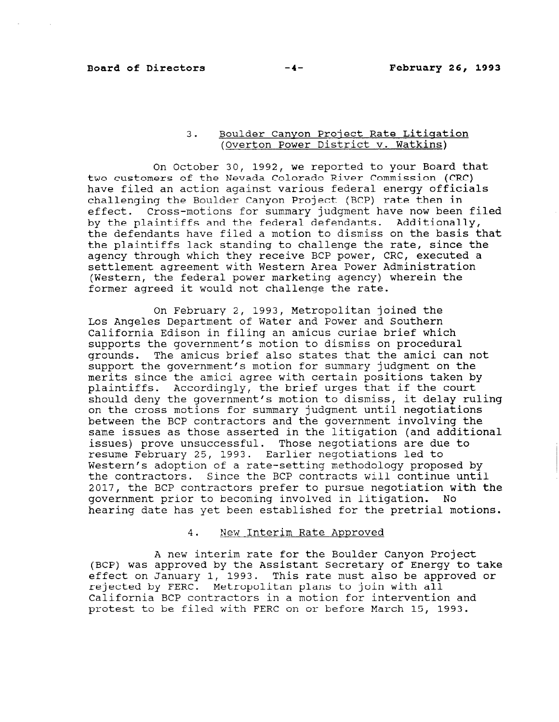### 3. Boulder Canyon Project Rate Litigation (Overton Power District v. Watkins)

On October 30, 1992, we reported to your Board that two customers of the Nevada Colorado River Commission (CRC) have filed an action against various federal energy officials challenging the Boulder Canyon Project (BCP) rate then in effect. Cross-motions for summary judgment have now been filed by the plaintiffs and the federal defendants. Additionally, the defendants have filed a motion to dismiss on the basis that the plaintiffs lack standing to challenge the rate, since the agency through which they receive BCP power, CRC, executed a settlement agreement with Western Area Power Administration (Western, the federal power marketing agency) wherein the former agreed it would not challenge the rate.

On February 2, 1993, Metropolitan joined the Los Angeles Department of Water and Power and Southern California Edison in filing an amicus curiae brief which supports the government's motion to dismiss on procedural grounds. The amicus brief also states that the amici can not support the government's motion for summary judgment on the merits since the amici agree with certain positions taken by plaintiffs. Accordingly, the brief urges that if the court productive motion the government's motion to dismiss, it delay  $r$ uli on the cross motions for summary judgment until negotiations  $\sim$ between the BCP contractors and the government involving the same issues as those asserted in the litigation (and additional issues) prove unsuccessful. Those negotiations are due to resume February 25, 1993. Earlier negotiations led to Western's adoption of a rate-setting methodology proposed by the contractors. Since the BCP contracts will continue until 2017, the BCP contractors prefer to pursue negotiation with the government prior to becoming involved in litigation. No hearing date has yet been established for the pretrial motions.

#### 4. New Interim Rate Approved

A new interim rate for the Boulder Canyon Project A new including the Tot the Bounder Canyon Project  $(BCF)$  was approved by the ASSIStant Secretary of Energy to tax effect on January 1, 1993. This rate must also be approved or rejected by FERC. Metropolitan plans to join with all California BCP contractors in a motion for intervention and<br>protest to be filed with FERC on or before March 15, 1993.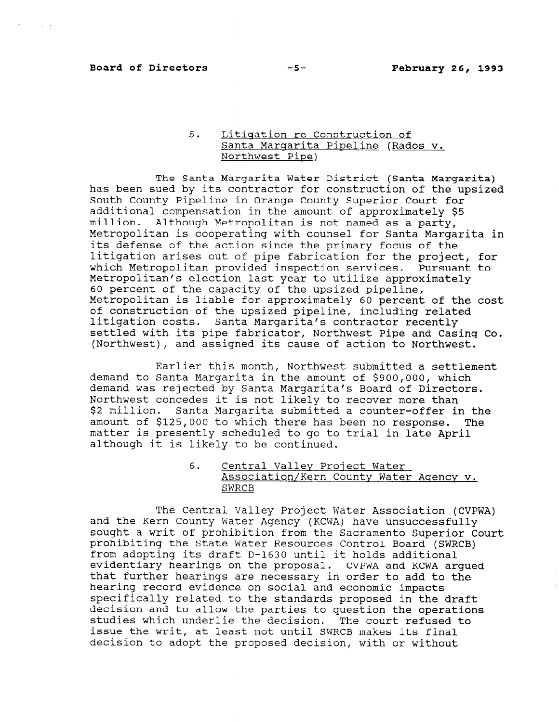**College** 

### 5. Litiqation re Construction of Santa Marqarita Pipeline (Rados v. Northwest Pioe)

The Santa Margarita Water District (Santa Margarita) has been sued by its contractor for construction of the upsized South County Pipeline in Orange County Superior Court for additional compensation in the amount of approximately \$5 million. Although Metropolitan is not named as a party, Metropolitan is cooperating with counsel for Santa Margarita in its defense of the action since the primary focus of the litigation arises out of pipe fabrication for the project, for which Metropolitan provided inspection services. Pursuant to Metropolitan's election last year to utilize approximately 60 percent of the capacity of the upsized pipeline, Metropolitan is liable for approximately 60 percent of the cost of construction of the upsized pipeline, including related litigation costs. Santa Margarita's contractor recently settled with its pipe fabricator, Northwest Pipe and Casing Co. (Northwest), and assigned its cause of action to Northwest.

Earlier this month, Northwest submitted a settlement demand to Santa Margarita in the amount of \$900,000, which demand was rejected by Santa Margarita's Board of Directors. Northwest concedes it is not likely to recover more than \$2 million. Santa Margarita submitted a counter-offer in the \$2 million. Santa Margarita submitted a counter-offer in the amount of \$125,000 to which there has been no response. The amount of the store of which there has been no response. although it is likely supported to go

> 6. Central Valley Project Water Association/Kern Countv Water Aqency v. assuci

The Central Valley Project Water Association (CVPWA) and the County Valley Project Water Association<br>County Water Agency (KOWA) have unwerved and the Refit County water Agency (RCWA) have unsuccessfully sought a writ of prohibition from the Sacramento Superior Court prohibiting the State Water Resources Control Board (SWRCB)<br>from adopting its draft D-1630 until it holds additional evidentiary hearings on the proposal. CVPWA and KCWA argued to the proposal. CVPWA and KCWA argued to the control of the control of the control of the control of the control of the control of the control of the control of evidenciary nearings on the proposal. CvPwA and KCWA argu that further hearings are necessary in order to add to the hearing record evidence on social and economic impacts specifically related to the standards proposed in the draft decision and to allow the parties to question the operations studies which underlie the decision. The court refused to issue the writ, at least not until SWRCB makes its final<br>decision to adopt the proposed decision, with or without